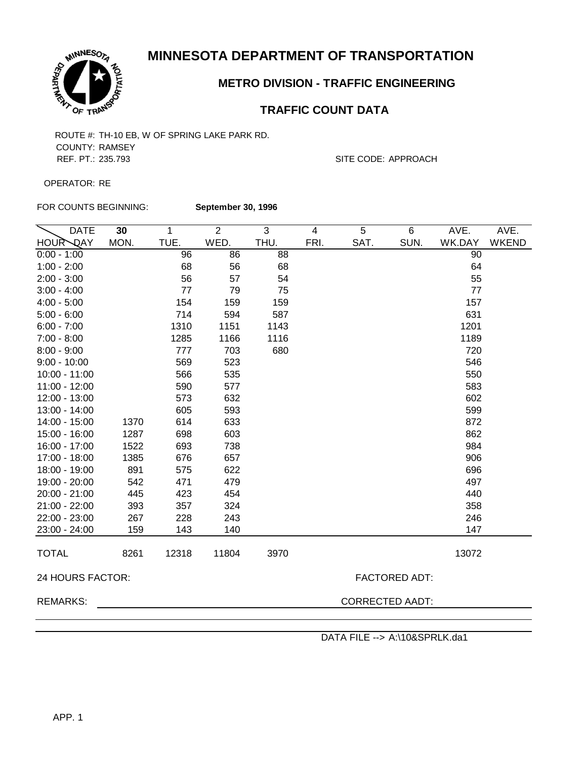

### **METRO DIVISION - TRAFFIC ENGINEERING**

### **TRAFFIC COUNT DATA**

COUNTY: RAMSEY REF. PT.: 235.793 SITE CODE: APPROACH

OPERATOR: RE

FOR COUNTS BEGINNING:

**September 30, 1996**

| <b>DATE</b>               | 30   | $\mathbf{1}$ | $\overline{2}$ | 3    | $\overline{\mathbf{4}}$ | 5    | 6                    | AVE.   | AVE.         |
|---------------------------|------|--------------|----------------|------|-------------------------|------|----------------------|--------|--------------|
| <b>HOUR</b><br><b>DAY</b> | MON. | TUE.         | WED.           | THU. | FRI.                    | SAT. | SUN.                 | WK.DAY | <b>WKEND</b> |
| $0:00 - 1:00$             |      | 96           | 86             | 88   |                         |      |                      | 90     |              |
| $1:00 - 2:00$             |      | 68           | 56             | 68   |                         |      |                      | 64     |              |
| $2:00 - 3:00$             |      | 56           | 57             | 54   |                         |      |                      | 55     |              |
| $3:00 - 4:00$             |      | 77           | 79             | 75   |                         |      |                      | 77     |              |
| $4:00 - 5:00$             |      | 154          | 159            | 159  |                         |      |                      | 157    |              |
| $5:00 - 6:00$             |      | 714          | 594            | 587  |                         |      |                      | 631    |              |
| $6:00 - 7:00$             |      | 1310         | 1151           | 1143 |                         |      |                      | 1201   |              |
| $7:00 - 8:00$             |      | 1285         | 1166           | 1116 |                         |      |                      | 1189   |              |
| $8:00 - 9:00$             |      | 777          | 703            | 680  |                         |      |                      | 720    |              |
| $9:00 - 10:00$            |      | 569          | 523            |      |                         |      |                      | 546    |              |
| $10:00 - 11:00$           |      | 566          | 535            |      |                         |      |                      | 550    |              |
| 11:00 - 12:00             |      | 590          | 577            |      |                         |      |                      | 583    |              |
| 12:00 - 13:00             |      | 573          | 632            |      |                         |      |                      | 602    |              |
| 13:00 - 14:00             |      | 605          | 593            |      |                         |      |                      | 599    |              |
| 14:00 - 15:00             | 1370 | 614          | 633            |      |                         |      |                      | 872    |              |
| 15:00 - 16:00             | 1287 | 698          | 603            |      |                         |      |                      | 862    |              |
| 16:00 - 17:00             | 1522 | 693          | 738            |      |                         |      |                      | 984    |              |
| 17:00 - 18:00             | 1385 | 676          | 657            |      |                         |      |                      | 906    |              |
| 18:00 - 19:00             | 891  | 575          | 622            |      |                         |      |                      | 696    |              |
| 19:00 - 20:00             | 542  | 471          | 479            |      |                         |      |                      | 497    |              |
| 20:00 - 21:00             | 445  | 423          | 454            |      |                         |      |                      | 440    |              |
| 21:00 - 22:00             | 393  | 357          | 324            |      |                         |      |                      | 358    |              |
| 22:00 - 23:00             | 267  | 228          | 243            |      |                         |      |                      | 246    |              |
| 23:00 - 24:00             | 159  | 143          | 140            |      |                         |      |                      | 147    |              |
| <b>TOTAL</b>              | 8261 | 12318        | 11804          | 3970 |                         |      |                      | 13072  |              |
| 24 HOURS FACTOR:          |      |              |                |      |                         |      | <b>FACTORED ADT:</b> |        |              |
| <b>REMARKS:</b>           |      |              |                |      | <b>CORRECTED AADT:</b>  |      |                      |        |              |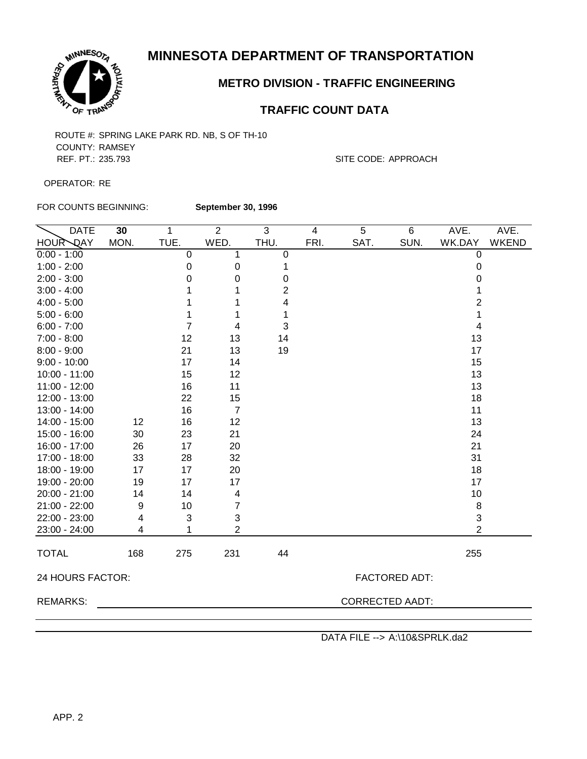

# **METRO DIVISION - TRAFFIC ENGINEERING**

# **TRAFFIC COUNT DATA**

COUNTY: RAMSEY REF. PT.: 235.793 SITE CODE: APPROACH

OPERATOR: RE

FOR COUNTS BEGINNING:

**September 30, 1996**

| <b>HOUR DAY</b><br>MON.<br>TUE.<br>WED.<br>THU.<br>FRI.<br>SAT.<br>SUN.<br>$0:00 - 1:00$<br>0<br>1<br>$\boldsymbol{0}$<br>$1:00 - 2:00$<br>$\mathbf 0$<br>0<br>1<br>$2:00 - 3:00$<br>0<br>$\pmb{0}$<br>0<br>$\overline{2}$<br>$3:00 - 4:00$<br>1<br>4<br>$4:00 - 5:00$<br>1<br>1<br>$5:00 - 6:00$<br>1<br>1<br>1<br>$6:00 - 7:00$<br>7<br>3<br>4<br>$7:00 - 8:00$<br>12<br>13<br>14<br>13<br>$8:00 - 9:00$<br>21<br>19<br>$9:00 - 10:00$<br>17<br>14<br>15<br>12<br>$10:00 - 11:00$<br>11:00 - 12:00<br>16<br>11<br>12:00 - 13:00<br>22<br>15<br>13:00 - 14:00<br>16<br>$\overline{7}$<br>14:00 - 15:00<br>12<br>16<br>12<br>15:00 - 16:00<br>21<br>30<br>23<br>16:00 - 17:00<br>26<br>20<br>17<br>17:00 - 18:00<br>33<br>28<br>32<br>17<br>20<br>18:00 - 19:00<br>17<br>19:00 - 20:00<br>19<br>17<br>17<br>20:00 - 21:00<br>14<br>14<br>4<br>$\overline{7}$<br>21:00 - 22:00<br>9<br>10<br>$\ensuremath{\mathsf{3}}$<br>22:00 - 23:00<br>3<br>4<br>$\overline{2}$<br>23:00 - 24:00<br>1<br>4 | AVE.                      | AVE.         |  |  |  |  |
|-----------------------------------------------------------------------------------------------------------------------------------------------------------------------------------------------------------------------------------------------------------------------------------------------------------------------------------------------------------------------------------------------------------------------------------------------------------------------------------------------------------------------------------------------------------------------------------------------------------------------------------------------------------------------------------------------------------------------------------------------------------------------------------------------------------------------------------------------------------------------------------------------------------------------------------------------------------------------------------------------|---------------------------|--------------|--|--|--|--|
|                                                                                                                                                                                                                                                                                                                                                                                                                                                                                                                                                                                                                                                                                                                                                                                                                                                                                                                                                                                               | WK.DAY                    | <b>WKEND</b> |  |  |  |  |
|                                                                                                                                                                                                                                                                                                                                                                                                                                                                                                                                                                                                                                                                                                                                                                                                                                                                                                                                                                                               | $\pmb{0}$                 |              |  |  |  |  |
|                                                                                                                                                                                                                                                                                                                                                                                                                                                                                                                                                                                                                                                                                                                                                                                                                                                                                                                                                                                               | $\pmb{0}$                 |              |  |  |  |  |
|                                                                                                                                                                                                                                                                                                                                                                                                                                                                                                                                                                                                                                                                                                                                                                                                                                                                                                                                                                                               | 0                         |              |  |  |  |  |
|                                                                                                                                                                                                                                                                                                                                                                                                                                                                                                                                                                                                                                                                                                                                                                                                                                                                                                                                                                                               | 1                         |              |  |  |  |  |
|                                                                                                                                                                                                                                                                                                                                                                                                                                                                                                                                                                                                                                                                                                                                                                                                                                                                                                                                                                                               | $\overline{2}$            |              |  |  |  |  |
|                                                                                                                                                                                                                                                                                                                                                                                                                                                                                                                                                                                                                                                                                                                                                                                                                                                                                                                                                                                               | 1                         |              |  |  |  |  |
|                                                                                                                                                                                                                                                                                                                                                                                                                                                                                                                                                                                                                                                                                                                                                                                                                                                                                                                                                                                               | 4                         |              |  |  |  |  |
|                                                                                                                                                                                                                                                                                                                                                                                                                                                                                                                                                                                                                                                                                                                                                                                                                                                                                                                                                                                               | 13                        |              |  |  |  |  |
|                                                                                                                                                                                                                                                                                                                                                                                                                                                                                                                                                                                                                                                                                                                                                                                                                                                                                                                                                                                               | 17                        |              |  |  |  |  |
|                                                                                                                                                                                                                                                                                                                                                                                                                                                                                                                                                                                                                                                                                                                                                                                                                                                                                                                                                                                               | 15                        |              |  |  |  |  |
|                                                                                                                                                                                                                                                                                                                                                                                                                                                                                                                                                                                                                                                                                                                                                                                                                                                                                                                                                                                               | 13                        |              |  |  |  |  |
|                                                                                                                                                                                                                                                                                                                                                                                                                                                                                                                                                                                                                                                                                                                                                                                                                                                                                                                                                                                               | 13                        |              |  |  |  |  |
|                                                                                                                                                                                                                                                                                                                                                                                                                                                                                                                                                                                                                                                                                                                                                                                                                                                                                                                                                                                               | 18                        |              |  |  |  |  |
|                                                                                                                                                                                                                                                                                                                                                                                                                                                                                                                                                                                                                                                                                                                                                                                                                                                                                                                                                                                               | 11                        |              |  |  |  |  |
|                                                                                                                                                                                                                                                                                                                                                                                                                                                                                                                                                                                                                                                                                                                                                                                                                                                                                                                                                                                               | 13                        |              |  |  |  |  |
|                                                                                                                                                                                                                                                                                                                                                                                                                                                                                                                                                                                                                                                                                                                                                                                                                                                                                                                                                                                               | 24                        |              |  |  |  |  |
|                                                                                                                                                                                                                                                                                                                                                                                                                                                                                                                                                                                                                                                                                                                                                                                                                                                                                                                                                                                               | 21                        |              |  |  |  |  |
|                                                                                                                                                                                                                                                                                                                                                                                                                                                                                                                                                                                                                                                                                                                                                                                                                                                                                                                                                                                               | 31                        |              |  |  |  |  |
|                                                                                                                                                                                                                                                                                                                                                                                                                                                                                                                                                                                                                                                                                                                                                                                                                                                                                                                                                                                               | 18                        |              |  |  |  |  |
|                                                                                                                                                                                                                                                                                                                                                                                                                                                                                                                                                                                                                                                                                                                                                                                                                                                                                                                                                                                               | 17                        |              |  |  |  |  |
|                                                                                                                                                                                                                                                                                                                                                                                                                                                                                                                                                                                                                                                                                                                                                                                                                                                                                                                                                                                               | 10                        |              |  |  |  |  |
|                                                                                                                                                                                                                                                                                                                                                                                                                                                                                                                                                                                                                                                                                                                                                                                                                                                                                                                                                                                               | 8                         |              |  |  |  |  |
|                                                                                                                                                                                                                                                                                                                                                                                                                                                                                                                                                                                                                                                                                                                                                                                                                                                                                                                                                                                               | $\ensuremath{\mathsf{3}}$ |              |  |  |  |  |
|                                                                                                                                                                                                                                                                                                                                                                                                                                                                                                                                                                                                                                                                                                                                                                                                                                                                                                                                                                                               | $\overline{2}$            |              |  |  |  |  |
| <b>TOTAL</b><br>168<br>275<br>231<br>44                                                                                                                                                                                                                                                                                                                                                                                                                                                                                                                                                                                                                                                                                                                                                                                                                                                                                                                                                       | 255                       |              |  |  |  |  |
| 24 HOURS FACTOR:<br><b>FACTORED ADT:</b>                                                                                                                                                                                                                                                                                                                                                                                                                                                                                                                                                                                                                                                                                                                                                                                                                                                                                                                                                      |                           |              |  |  |  |  |
| <b>CORRECTED AADT:</b><br><b>REMARKS:</b>                                                                                                                                                                                                                                                                                                                                                                                                                                                                                                                                                                                                                                                                                                                                                                                                                                                                                                                                                     |                           |              |  |  |  |  |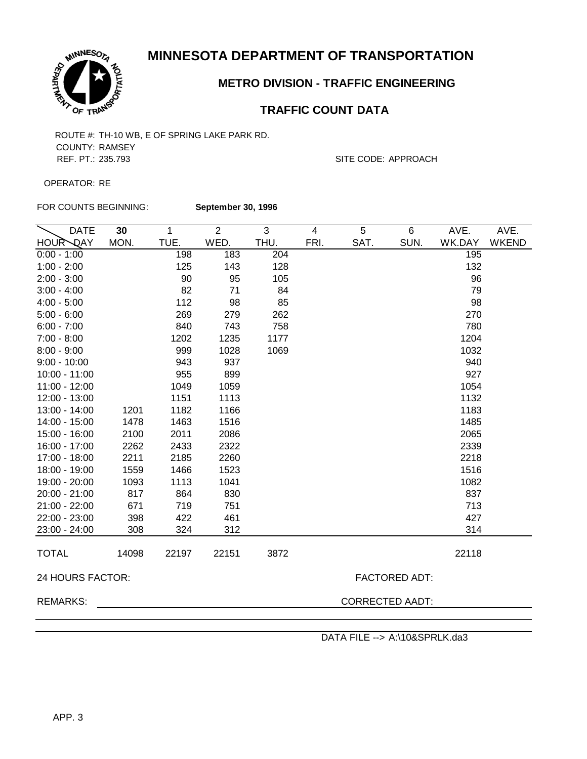

## **METRO DIVISION - TRAFFIC ENGINEERING**

### **TRAFFIC COUNT DATA**

COUNTY: RAMSEY REF. PT.: 235.793 SITE CODE: APPROACH

OPERATOR: RE

FOR COUNTS BEGINNING:

**September 30, 1996**

| <b>HOUR DAY</b><br>MON.<br>TUE.<br>WED.<br>THU.<br>FRI.<br>SAT.<br>SUN.<br>WK.DAY<br>183<br>198<br>204<br>195<br>$0:00 - 1:00$<br>$1:00 - 2:00$<br>125<br>143<br>132<br>128<br>$2:00 - 3:00$<br>96<br>90<br>95<br>105<br>82<br>71<br>79<br>$3:00 - 4:00$<br>84<br>112<br>98<br>85<br>98<br>$4:00 - 5:00$<br>270<br>$5:00 - 6:00$<br>269<br>279<br>262<br>780<br>$6:00 - 7:00$<br>840<br>743<br>758<br>$7:00 - 8:00$<br>1202<br>1204<br>1235<br>1177<br>$8:00 - 9:00$<br>999<br>1032<br>1028<br>1069<br>$9:00 - 10:00$<br>943<br>937<br>940<br>955<br>899<br>927<br>$10:00 - 11:00$<br>1049<br>1054<br>11:00 - 12:00<br>1059<br>1151<br>1132<br>12:00 - 13:00<br>1113<br>13:00 - 14:00<br>1182<br>1183<br>1201<br>1166<br>1463<br>1485<br>14:00 - 15:00<br>1478<br>1516<br>2011<br>2065<br>15:00 - 16:00<br>2100<br>2086<br>16:00 - 17:00<br>2433<br>2322<br>2339<br>2262<br>2185<br>2260<br>17:00 - 18:00<br>2211<br>2218<br>1466<br>1516<br>18:00 - 19:00<br>1559<br>1523<br>1113<br>19:00 - 20:00<br>1093<br>1041<br>1082<br>864<br>837<br>20:00 - 21:00<br>817<br>830<br>713<br>21:00 - 22:00<br>671<br>719<br>751<br>22:00 - 23:00<br>422<br>461<br>427<br>398<br>23:00 - 24:00<br>308<br>324<br>312<br>314<br><b>TOTAL</b><br>14098<br>22197<br>22151<br>3872<br>22118<br>24 HOURS FACTOR:<br><b>FACTORED ADT:</b><br><b>REMARKS:</b><br><b>CORRECTED AADT:</b> | <b>DATE</b> | 30 | 1 | $\overline{2}$ | 3 | $\overline{4}$ | 5 | 6 | AVE. | AVE.         |
|----------------------------------------------------------------------------------------------------------------------------------------------------------------------------------------------------------------------------------------------------------------------------------------------------------------------------------------------------------------------------------------------------------------------------------------------------------------------------------------------------------------------------------------------------------------------------------------------------------------------------------------------------------------------------------------------------------------------------------------------------------------------------------------------------------------------------------------------------------------------------------------------------------------------------------------------------------------------------------------------------------------------------------------------------------------------------------------------------------------------------------------------------------------------------------------------------------------------------------------------------------------------------------------------------------------------------------------------------------------------|-------------|----|---|----------------|---|----------------|---|---|------|--------------|
|                                                                                                                                                                                                                                                                                                                                                                                                                                                                                                                                                                                                                                                                                                                                                                                                                                                                                                                                                                                                                                                                                                                                                                                                                                                                                                                                                                      |             |    |   |                |   |                |   |   |      | <b>WKEND</b> |
|                                                                                                                                                                                                                                                                                                                                                                                                                                                                                                                                                                                                                                                                                                                                                                                                                                                                                                                                                                                                                                                                                                                                                                                                                                                                                                                                                                      |             |    |   |                |   |                |   |   |      |              |
|                                                                                                                                                                                                                                                                                                                                                                                                                                                                                                                                                                                                                                                                                                                                                                                                                                                                                                                                                                                                                                                                                                                                                                                                                                                                                                                                                                      |             |    |   |                |   |                |   |   |      |              |
|                                                                                                                                                                                                                                                                                                                                                                                                                                                                                                                                                                                                                                                                                                                                                                                                                                                                                                                                                                                                                                                                                                                                                                                                                                                                                                                                                                      |             |    |   |                |   |                |   |   |      |              |
|                                                                                                                                                                                                                                                                                                                                                                                                                                                                                                                                                                                                                                                                                                                                                                                                                                                                                                                                                                                                                                                                                                                                                                                                                                                                                                                                                                      |             |    |   |                |   |                |   |   |      |              |
|                                                                                                                                                                                                                                                                                                                                                                                                                                                                                                                                                                                                                                                                                                                                                                                                                                                                                                                                                                                                                                                                                                                                                                                                                                                                                                                                                                      |             |    |   |                |   |                |   |   |      |              |
|                                                                                                                                                                                                                                                                                                                                                                                                                                                                                                                                                                                                                                                                                                                                                                                                                                                                                                                                                                                                                                                                                                                                                                                                                                                                                                                                                                      |             |    |   |                |   |                |   |   |      |              |
|                                                                                                                                                                                                                                                                                                                                                                                                                                                                                                                                                                                                                                                                                                                                                                                                                                                                                                                                                                                                                                                                                                                                                                                                                                                                                                                                                                      |             |    |   |                |   |                |   |   |      |              |
|                                                                                                                                                                                                                                                                                                                                                                                                                                                                                                                                                                                                                                                                                                                                                                                                                                                                                                                                                                                                                                                                                                                                                                                                                                                                                                                                                                      |             |    |   |                |   |                |   |   |      |              |
|                                                                                                                                                                                                                                                                                                                                                                                                                                                                                                                                                                                                                                                                                                                                                                                                                                                                                                                                                                                                                                                                                                                                                                                                                                                                                                                                                                      |             |    |   |                |   |                |   |   |      |              |
|                                                                                                                                                                                                                                                                                                                                                                                                                                                                                                                                                                                                                                                                                                                                                                                                                                                                                                                                                                                                                                                                                                                                                                                                                                                                                                                                                                      |             |    |   |                |   |                |   |   |      |              |
|                                                                                                                                                                                                                                                                                                                                                                                                                                                                                                                                                                                                                                                                                                                                                                                                                                                                                                                                                                                                                                                                                                                                                                                                                                                                                                                                                                      |             |    |   |                |   |                |   |   |      |              |
|                                                                                                                                                                                                                                                                                                                                                                                                                                                                                                                                                                                                                                                                                                                                                                                                                                                                                                                                                                                                                                                                                                                                                                                                                                                                                                                                                                      |             |    |   |                |   |                |   |   |      |              |
|                                                                                                                                                                                                                                                                                                                                                                                                                                                                                                                                                                                                                                                                                                                                                                                                                                                                                                                                                                                                                                                                                                                                                                                                                                                                                                                                                                      |             |    |   |                |   |                |   |   |      |              |
|                                                                                                                                                                                                                                                                                                                                                                                                                                                                                                                                                                                                                                                                                                                                                                                                                                                                                                                                                                                                                                                                                                                                                                                                                                                                                                                                                                      |             |    |   |                |   |                |   |   |      |              |
|                                                                                                                                                                                                                                                                                                                                                                                                                                                                                                                                                                                                                                                                                                                                                                                                                                                                                                                                                                                                                                                                                                                                                                                                                                                                                                                                                                      |             |    |   |                |   |                |   |   |      |              |
|                                                                                                                                                                                                                                                                                                                                                                                                                                                                                                                                                                                                                                                                                                                                                                                                                                                                                                                                                                                                                                                                                                                                                                                                                                                                                                                                                                      |             |    |   |                |   |                |   |   |      |              |
|                                                                                                                                                                                                                                                                                                                                                                                                                                                                                                                                                                                                                                                                                                                                                                                                                                                                                                                                                                                                                                                                                                                                                                                                                                                                                                                                                                      |             |    |   |                |   |                |   |   |      |              |
|                                                                                                                                                                                                                                                                                                                                                                                                                                                                                                                                                                                                                                                                                                                                                                                                                                                                                                                                                                                                                                                                                                                                                                                                                                                                                                                                                                      |             |    |   |                |   |                |   |   |      |              |
|                                                                                                                                                                                                                                                                                                                                                                                                                                                                                                                                                                                                                                                                                                                                                                                                                                                                                                                                                                                                                                                                                                                                                                                                                                                                                                                                                                      |             |    |   |                |   |                |   |   |      |              |
|                                                                                                                                                                                                                                                                                                                                                                                                                                                                                                                                                                                                                                                                                                                                                                                                                                                                                                                                                                                                                                                                                                                                                                                                                                                                                                                                                                      |             |    |   |                |   |                |   |   |      |              |
|                                                                                                                                                                                                                                                                                                                                                                                                                                                                                                                                                                                                                                                                                                                                                                                                                                                                                                                                                                                                                                                                                                                                                                                                                                                                                                                                                                      |             |    |   |                |   |                |   |   |      |              |
|                                                                                                                                                                                                                                                                                                                                                                                                                                                                                                                                                                                                                                                                                                                                                                                                                                                                                                                                                                                                                                                                                                                                                                                                                                                                                                                                                                      |             |    |   |                |   |                |   |   |      |              |
|                                                                                                                                                                                                                                                                                                                                                                                                                                                                                                                                                                                                                                                                                                                                                                                                                                                                                                                                                                                                                                                                                                                                                                                                                                                                                                                                                                      |             |    |   |                |   |                |   |   |      |              |
|                                                                                                                                                                                                                                                                                                                                                                                                                                                                                                                                                                                                                                                                                                                                                                                                                                                                                                                                                                                                                                                                                                                                                                                                                                                                                                                                                                      |             |    |   |                |   |                |   |   |      |              |
|                                                                                                                                                                                                                                                                                                                                                                                                                                                                                                                                                                                                                                                                                                                                                                                                                                                                                                                                                                                                                                                                                                                                                                                                                                                                                                                                                                      |             |    |   |                |   |                |   |   |      |              |
|                                                                                                                                                                                                                                                                                                                                                                                                                                                                                                                                                                                                                                                                                                                                                                                                                                                                                                                                                                                                                                                                                                                                                                                                                                                                                                                                                                      |             |    |   |                |   |                |   |   |      |              |
|                                                                                                                                                                                                                                                                                                                                                                                                                                                                                                                                                                                                                                                                                                                                                                                                                                                                                                                                                                                                                                                                                                                                                                                                                                                                                                                                                                      |             |    |   |                |   |                |   |   |      |              |